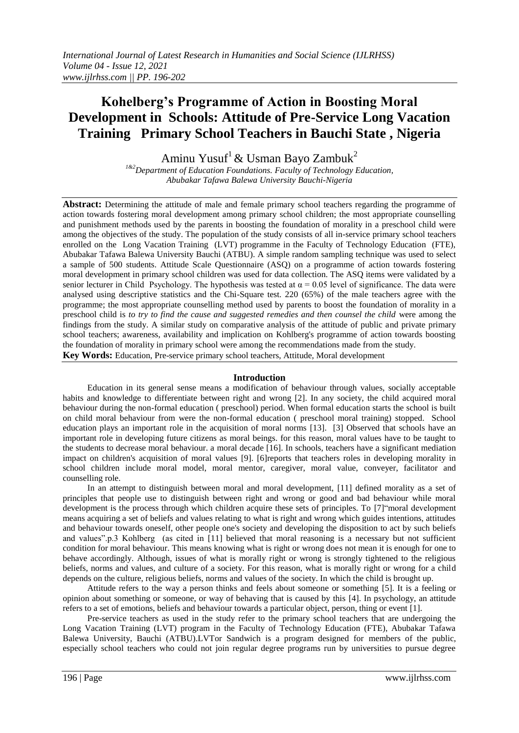# **Kohelberg's Programme of Action in Boosting Moral Development in Schools: Attitude of Pre-Service Long Vacation Training Primary School Teachers in Bauchi State , Nigeria**

Aminu Yusuf<sup>1</sup> & Usman Bayo Zambuk<sup>2</sup>

*1&2Department of Education Foundations. Faculty of Technology Education, Abubakar Tafawa Balewa University Bauchi-Nigeria*

Abstract: Determining the attitude of male and female primary school teachers regarding the programme of action towards fostering moral development among primary school children; the most appropriate counselling and punishment methods used by the parents in boosting the foundation of morality in a preschool child were among the objectives of the study. The population of the study consists of all in-service primary school teachers enrolled on the Long Vacation Training (LVT) programme in the Faculty of Technology Education (FTE), Abubakar Tafawa Balewa University Bauchi (ATBU). A simple random sampling technique was used to select a sample of 500 students. Attitude Scale Questionnaire (ASQ) on a programme of action towards fostering moral development in primary school children was used for data collection. The ASQ items were validated by a senior lecturer in Child Psychology. The hypothesis was tested at  $\alpha = 0.05$  level of significance. The data were analysed using descriptive statistics and the Chi-Square test. 220 (65%) of the male teachers agree with the programme; the most appropriate counselling method used by parents to boost the foundation of morality in a preschool child is *to try to find the cause and suggested remedies and then counsel the child* were among the findings from the study. A similar study on comparative analysis of the attitude of public and private primary school teachers; awareness, availability and implication on Kohlberg's programme of action towards boosting the foundation of morality in primary school were among the recommendations made from the study. **Key Words:** Education, Pre-service primary school teachers, Attitude, Moral development

#### **Introduction**

Education in its general sense means a modification of behaviour through values, socially acceptable habits and knowledge to differentiate between right and wrong [2]. In any society, the child acquired moral behaviour during the non-formal education ( preschool) period. When formal education starts the school is built on child moral behaviour from were the non-formal education ( preschool moral training) stopped. School education plays an important role in the acquisition of moral norms [13]. [3] Observed that schools have an important role in developing future citizens as moral beings. for this reason, moral values have to be taught to the students to decrease moral behaviour. a moral decade [16]. In schools, teachers have a significant mediation impact on children's acquisition of moral values [9]. [6]reports that teachers roles in developing morality in school children include moral model, moral mentor, caregiver, moral value, conveyer, facilitator and counselling role.

In an attempt to distinguish between moral and moral development, [11] defined morality as a set of principles that people use to distinguish between right and wrong or good and bad behaviour while moral development is the process through which children acquire these sets of principles. To [7]"moral development means acquiring a set of beliefs and values relating to what is right and wrong which guides intentions, attitudes and behaviour towards oneself, other people one's society and developing the disposition to act by such beliefs and values".p.3 Kohlberg (as cited in [11] believed that moral reasoning is a necessary but not sufficient condition for moral behaviour. This means knowing what is right or wrong does not mean it is enough for one to behave accordingly. Although, issues of what is morally right or wrong is strongly tightened to the religious beliefs, norms and values, and culture of a society. For this reason, what is morally right or wrong for a child depends on the culture, religious beliefs, norms and values of the society. In which the child is brought up.

Attitude refers to the way a person thinks and feels about someone or something [5]. It is a feeling or opinion about something or someone, or way of behaving that is caused by this [4]. In psychology, an attitude refers to a set of emotions, beliefs and behaviour towards a particular object, person, thing or event [1].

Pre-service teachers as used in the study refer to the primary school teachers that are undergoing the Long Vacation Training (LVT) program in the Faculty of Technology Education (FTE), Abubakar Tafawa Balewa University, Bauchi (ATBU).LVTor Sandwich is a program designed for members of the public, especially school teachers who could not join regular degree programs run by universities to pursue degree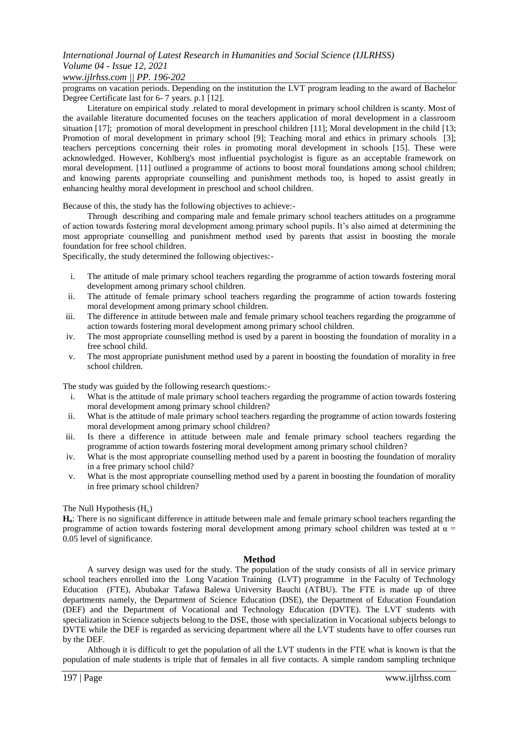# *International Journal of Latest Research in Humanities and Social Science (IJLRHSS) Volume 04 - Issue 12, 2021*

#### *www.ijlrhss.com || PP. 196-202*

programs on vacation periods. Depending on the institution the LVT program leading to the award of Bachelor Degree Certificate last for 6- 7 years. p.1 [12].

Literature on empirical study .related to moral development in primary school children is scanty. Most of the available literature documented focuses on the teachers application of moral development in a classroom situation [17]; promotion of moral development in preschool children [11]; Moral development in the child [13; Promotion of moral development in primary school [9]; Teaching moral and ethics in primary schools [3]; teachers perceptions concerning their roles in promoting moral development in schools [15]. These were acknowledged. However, Kohlberg's most influential psychologist is figure as an acceptable framework on moral development. [11] outlined a programme of actions to boost moral foundations among school children; and knowing parents appropriate counselling and punishment methods too, is hoped to assist greatly in enhancing healthy moral development in preschool and school children.

Because of this, the study has the following objectives to achieve:-

Through describing and comparing male and female primary school teachers attitudes on a programme of action towards fostering moral development among primary school pupils. It's also aimed at determining the most appropriate counselling and punishment method used by parents that assist in boosting the morale foundation for free school children.

Specifically, the study determined the following objectives:-

- i. The attitude of male primary school teachers regarding the programme of action towards fostering moral development among primary school children.
- ii. The attitude of female primary school teachers regarding the programme of action towards fostering moral development among primary school children.
- iii. The difference in attitude between male and female primary school teachers regarding the programme of action towards fostering moral development among primary school children.
- iv. The most appropriate counselling method is used by a parent in boosting the foundation of morality in a free school child.
- v. The most appropriate punishment method used by a parent in boosting the foundation of morality in free school children.

The study was guided by the following research questions:-

- i. What is the attitude of male primary school teachers regarding the programme of action towards fostering moral development among primary school children?
- ii. What is the attitude of male primary school teachers regarding the programme of action towards fostering moral development among primary school children?
- iii. Is there a difference in attitude between male and female primary school teachers regarding the programme of action towards fostering moral development among primary school children?
- iv. What is the most appropriate counselling method used by a parent in boosting the foundation of morality in a free primary school child?
- v. What is the most appropriate counselling method used by a parent in boosting the foundation of morality in free primary school children?

## The Null Hypothesis  $(H_0)$

**Ho**: There is no significant difference in attitude between male and female primary school teachers regarding the programme of action towards fostering moral development among primary school children was tested at  $\alpha$  = 0.05 level of significance.

#### **Method**

A survey design was used for the study. The population of the study consists of all in service primary school teachers enrolled into the Long Vacation Training (LVT) programme in the Faculty of Technology Education (FTE), Abubakar Tafawa Balewa University Bauchi (ATBU). The FTE is made up of three departments namely, the Department of Science Education (DSE), the Department of Education Foundation (DEF) and the Department of Vocational and Technology Education (DVTE). The LVT students with specialization in Science subjects belong to the DSE, those with specialization in Vocational subjects belongs to DVTE while the DEF is regarded as servicing department where all the LVT students have to offer courses run by the DEF.

Although it is difficult to get the population of all the LVT students in the FTE what is known is that the population of male students is triple that of females in all five contacts. A simple random sampling technique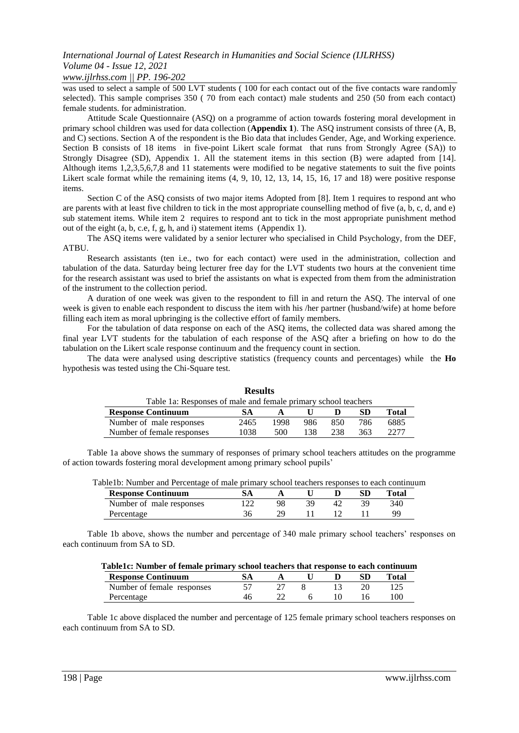# *International Journal of Latest Research in Humanities and Social Science (IJLRHSS) Volume 04 - Issue 12, 2021*

*www.ijlrhss.com || PP. 196-202*

was used to select a sample of 500 LVT students (100 for each contact out of the five contacts ware randomly selected). This sample comprises 350 ( 70 from each contact) male students and 250 (50 from each contact) female students. for administration.

Attitude Scale Questionnaire (ASQ) on a programme of action towards fostering moral development in primary school children was used for data collection (**Appendix 1**). The ASQ instrument consists of three (A, B, and C) sections. Section A of the respondent is the Bio data that includes Gender, Age, and Working experience. Section B consists of 18 items in five-point Likert scale format that runs from Strongly Agree (SA)) to Strongly Disagree (SD), Appendix 1. All the statement items in this section (B) were adapted from [14]. Although items 1,2,3,5,6,7,8 and 11 statements were modified to be negative statements to suit the five points Likert scale format while the remaining items  $(4, 9, 10, 12, 13, 14, 15, 16, 17, 18)$  were positive response items.

Section C of the ASQ consists of two major items Adopted from [8]. Item 1 requires to respond ant who are parents with at least five children to tick in the most appropriate counselling method of five (a, b, c, d, and e) sub statement items. While item 2 requires to respond ant to tick in the most appropriate punishment method out of the eight (a, b, c.e, f, g, h, and i) statement items (Appendix 1).

The ASQ items were validated by a senior lecturer who specialised in Child Psychology, from the DEF, ATBU.

Research assistants (ten i.e., two for each contact) were used in the administration, collection and tabulation of the data. Saturday being lecturer free day for the LVT students two hours at the convenient time for the research assistant was used to brief the assistants on what is expected from them from the administration of the instrument to the collection period.

A duration of one week was given to the respondent to fill in and return the ASQ. The interval of one week is given to enable each respondent to discuss the item with his /her partner (husband/wife) at home before filling each item as moral upbringing is the collective effort of family members.

For the tabulation of data response on each of the ASQ items, the collected data was shared among the final year LVT students for the tabulation of each response of the ASQ after a briefing on how to do the tabulation on the Likert scale response continuum and the frequency count in section.

The data were analysed using descriptive statistics (frequency counts and percentages) while the **Ho** hypothesis was tested using the Chi-Square test.

**Results**

|                                                                | .    |      |     |     |     |       |  |  |  |
|----------------------------------------------------------------|------|------|-----|-----|-----|-------|--|--|--|
| Table 1a: Responses of male and female primary school teachers |      |      |     |     |     |       |  |  |  |
| <b>Response Continuum</b>                                      | SА   |      |     |     | SD. | Total |  |  |  |
| Number of male responses                                       | 2465 | 1998 | 986 | 850 | 786 | 6885  |  |  |  |
| Number of female responses                                     | 1038 | 500  | 138 | 238 | 363 | 7777  |  |  |  |

Table 1a above shows the summary of responses of primary school teachers attitudes on the programme of action towards fostering moral development among primary school pupils'

| able1b: Number and Percentage of male primary school teachers responses to each continuun |    |     |     |              |  |
|-------------------------------------------------------------------------------------------|----|-----|-----|--------------|--|
| <b>Response Continuum</b>                                                                 |    |     | SD  | <b>Total</b> |  |
| Number of male responses                                                                  | 98 | 42. | 39. | 340          |  |
| Percentage                                                                                | 29 |     |     | QQ           |  |

Table1b: Number and Percentage of male primary school teachers responses to each continuum

Table 1b above, shows the number and percentage of 340 male primary school teachers' responses on each continuum from SA to SD.

|  |  |  |  | Table1c: Number of female primary school teachers that response to each continuum |
|--|--|--|--|-----------------------------------------------------------------------------------|
|  |  |  |  |                                                                                   |

| <b>Response Continuum</b>  |  |  | Total |
|----------------------------|--|--|-------|
| Number of female responses |  |  |       |
| Percentage                 |  |  | 10C   |

Table 1c above displaced the number and percentage of 125 female primary school teachers responses on each continuum from SA to SD.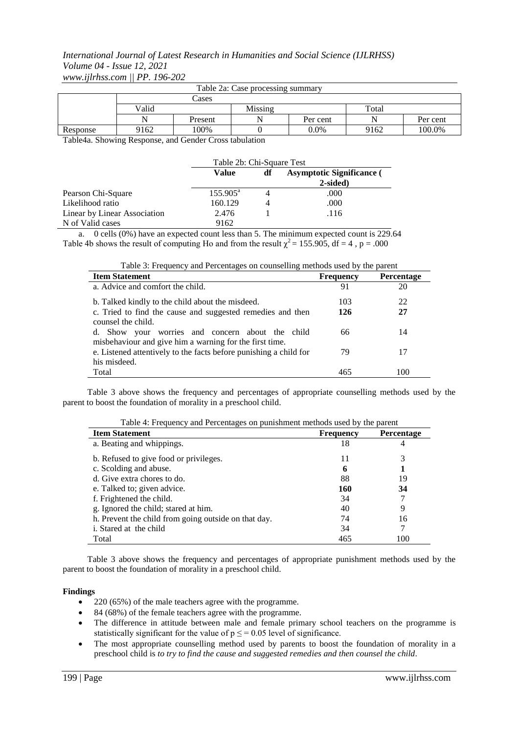## *International Journal of Latest Research in Humanities and Social Science (IJLRHSS) Volume 04 - Issue 12, 2021 www.ijlrhss.com || PP. 196-202*

| Table 2a: Case processing summary |       |         |         |          |       |          |  |  |
|-----------------------------------|-------|---------|---------|----------|-------|----------|--|--|
|                                   | Cases |         |         |          |       |          |  |  |
|                                   | Valid |         | Missing |          | Total |          |  |  |
|                                   | N     | Present |         | Per cent | N     | Per cent |  |  |
| Response                          | 9162  | 100%    |         | $0.0\%$  | 9162  | 100.0%   |  |  |

Table4a. Showing Response, and Gender Cross tabulation

|                              | Table 2b: Chi-Square Test |    |                                              |  |  |
|------------------------------|---------------------------|----|----------------------------------------------|--|--|
|                              | Value                     | df | <b>Asymptotic Significance</b> (<br>2-sided) |  |  |
| Pearson Chi-Square           | $155.905^{\text{a}}$      |    | .000                                         |  |  |
| Likelihood ratio             | 160.129                   | 4  | .000                                         |  |  |
| Linear by Linear Association | 2.476                     |    | .116                                         |  |  |
| N of Valid cases             | 9162                      |    |                                              |  |  |

a. 0 cells (0%) have an expected count less than 5. The minimum expected count is 229.64 Table 4b shows the result of computing Ho and from the result  $\chi^2 = 155.905$ , df = 4, p = .000

| Tuble 5: 1 requeste ; and I creening to on counselling memorie about 6 ; the parent |                  |                   |  |  |  |  |  |
|-------------------------------------------------------------------------------------|------------------|-------------------|--|--|--|--|--|
| <b>Item Statement</b>                                                               | <b>Frequency</b> | <b>Percentage</b> |  |  |  |  |  |
| a. Advice and comfort the child.                                                    | 91               | 20                |  |  |  |  |  |
| b. Talked kindly to the child about the misdeed.                                    | 103              | 22                |  |  |  |  |  |
| c. Tried to find the cause and suggested remedies and then                          | 126              | 27                |  |  |  |  |  |
| counsel the child.                                                                  |                  |                   |  |  |  |  |  |
| d. Show your worries and concern about the child                                    | 66               | 14                |  |  |  |  |  |
| misbehaviour and give him a warning for the first time.                             |                  |                   |  |  |  |  |  |
| e. Listened attentively to the facts before punishing a child for                   | 79               | 17                |  |  |  |  |  |
| his misdeed.                                                                        |                  |                   |  |  |  |  |  |
| Total                                                                               | 465              | 100               |  |  |  |  |  |

Table 3: Frequency and Percentages on counselling methods used by the parent

Table 3 above shows the frequency and percentages of appropriate counselling methods used by the parent to boost the foundation of morality in a preschool child.

| Table 4: Frequency and Percentages on punishment methods used by the parent |  |  |  |  |  |  |
|-----------------------------------------------------------------------------|--|--|--|--|--|--|
|-----------------------------------------------------------------------------|--|--|--|--|--|--|

| <b>Item Statement</b>                                | <b>Frequency</b> | <b>Percentage</b> |
|------------------------------------------------------|------------------|-------------------|
| a. Beating and whippings.                            | 18               | 4                 |
| b. Refused to give food or privileges.               | 11               | 3                 |
| c. Scolding and abuse.                               | 6                |                   |
| d. Give extra chores to do.                          | 88               | 19                |
| e. Talked to; given advice.                          | 160              | 34                |
| f. Frightened the child.                             | 34               |                   |
| g. Ignored the child; stared at him.                 | 40               | 9                 |
| h. Prevent the child from going outside on that day. | 74               | 16                |
| i. Stared at the child                               | 34               | 7                 |
| Total                                                | 465              | 100               |

Table 3 above shows the frequency and percentages of appropriate punishment methods used by the parent to boost the foundation of morality in a preschool child.

#### **Findings**

- 220 (65%) of the male teachers agree with the programme.
- 84 (68%) of the female teachers agree with the programme.
- The difference in attitude between male and female primary school teachers on the programme is statistically significant for the value of  $p \le 0.05$  level of significance.
- The most appropriate counselling method used by parents to boost the foundation of morality in a preschool child is *to try to find the cause and suggested remedies and then counsel the child*.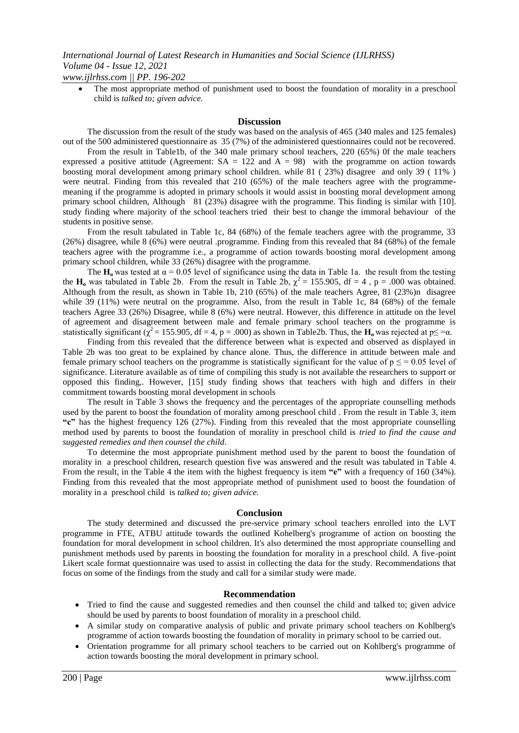The most appropriate method of punishment used to boost the foundation of morality in a preschool child is *talked to; given advice.*

#### **Discussion**

The discussion from the result of the study was based on the analysis of 465 (340 males and 125 females) out of the 500 administered questionnaire as 35 (7%) of the administered questionnaires could not be recovered.

From the result in Table1b, of the 340 male primary school teachers, 220 (65%) 0f the male teachers expressed a positive attitude (Agreement:  $SA = 122$  and  $A = 98$ ) with the programme on action towards boosting moral development among primary school children. while 81 ( 23%) disagree and only 39 ( 11% ) were neutral. Finding from this revealed that 210 (65%) of the male teachers agree with the programmemeaning if the programme is adopted in primary schools it would assist in boosting moral development among primary school children, Although 81 (23%) disagree with the programme. This finding is similar with [10]. study finding where majority of the school teachers tried their best to change the immoral behaviour of the students in positive sense.

From the result tabulated in Table 1c, 84 (68%) of the female teachers agree with the programme, 33 (26%) disagree, while 8 (6%) were neutral .programme. Finding from this revealed that 84 (68%) of the female teachers agree with the programme i.e., a programme of action towards boosting moral development among primary school children, while 33 (26%) disagree with the programme.

The  $H_0$  was tested at  $\alpha = 0.05$  level of significance using the data in Table 1a. the result from the testing the **H<sub>o</sub>** was tabulated in Table 2b. From the result in Table 2b,  $\chi^2 = 155.905$ , df = 4, p = .000 was obtained. Although from the result, as shown in Table 1b, 210 (65%) of the male teachers Agree, 81 (23%)n disagree while 39 (11%) were neutral on the programme. Also, from the result in Table 1c, 84 (68%) of the female teachers Agree 33 (26%) Disagree, while 8 (6%) were neutral. However, this difference in attitude on the level of agreement and disagreement between male and female primary school teachers on the programme is statistically significant ( $\chi^2 = 155.905$ , df = 4, p = .000) as shown in Table2b. Thus, the  $H_0$  was rejected at p $\leq = \alpha$ .

Finding from this revealed that the difference between what is expected and observed as displayed in Table 2b was too great to be explained by chance alone. Thus, the difference in attitude between male and female primary school teachers on the programme is statistically significant for the value of  $p \le 0.05$  level of significance. Literature available as of time of compiling this study is not available the researchers to support or opposed this finding,. However, [15] study finding shows that teachers with high and differs in their commitment towards boosting moral development in schools

The result in Table 3 shows the frequency and the percentages of the appropriate counselling methods used by the parent to boost the foundation of morality among preschool child . From the result in Table 3, item **"c"** has the highest frequency 126 (27%). Finding from this revealed that the most appropriate counselling method used by parents to boost the foundation of morality in preschool child is *tried to find the cause and suggested remedies and then counsel the child*.

To determine the most appropriate punishment method used by the parent to boost the foundation of morality in a preschool children, research question five was answered and the result was tabulated in Table 4. From the result, in the Table 4 the item with the highest frequency is item **"e"** with a frequency of 160 (34%). Finding from this revealed that the most appropriate method of punishment used to boost the foundation of morality in a preschool child is *talked to; given advice.*

#### **Conclusion**

The study determined and discussed the pre-service primary school teachers enrolled into the LVT programme in FTE, ATBU attitude towards the outlined Kohelberg's programme of action on boosting the foundation for moral development in school children. It's also determined the most appropriate counselling and punishment methods used by parents in boosting the foundation for morality in a preschool child. A five-point Likert scale format questionnaire was used to assist in collecting the data for the study. Recommendations that focus on some of the findings from the study and call for a similar study were made.

#### **Recommendation**

- Tried to find the cause and suggested remedies and then counsel the child and talked to; given advice should be used by parents to boost foundation of morality in a preschool child.
- A similar study on comparative analysis of public and private primary school teachers on Kohlberg's programme of action towards boosting the foundation of morality in primary school to be carried out.
- Orientation programme for all primary school teachers to be carried out on Kohlberg's programme of action towards boosting the moral development in primary school.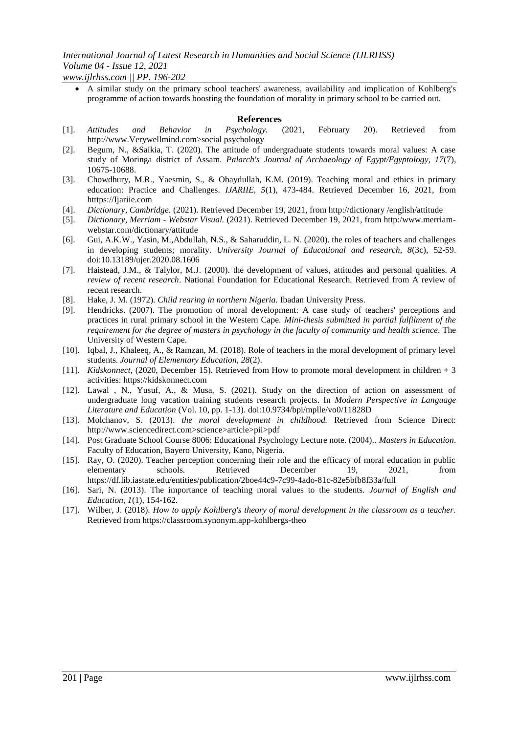*www.ijlrhss.com || PP. 196-202* A similar study on the primary school teachers' awareness, availability and implication of Kohlberg's programme of action towards boosting the foundation of morality in primary school to be carried out.

#### **References**

- [1]. *Attitudes and Behavior in Psychology.* (2021, February 20). Retrieved from http://www.Verywellmind.com>social psychology
- [2]. Begum, N., &Saikia, T. (2020). The attitude of undergraduate students towards moral values: A case study of Moringa district of Assam. *Palarch's Journal of Archaeology of Egypt/Egyptology, 17*(7), 10675-10688.
- [3]. Chowdhury, M.R., Yaesmin, S., & Obaydullah, K.M. (2019). Teaching moral and ethics in primary education: Practice and Challenges. *IJARIIE, 5*(1), 473-484. Retrieved December 16, 2021, from htttps://Ijariie.com
- [4]. *Dictionary, Cambridge.* (2021). Retrieved December 19, 2021, from http://dictionary /english/attitude
- [5]. *Dictionary, Merriam - Webstar Visual.* (2021). Retrieved December 19, 2021, from http:/www.merriamwebstar.com/dictionary/attitude
- [6]. Gui, A.K.W., Yasin, M.,Abdullah, N.S., & Saharuddin, L. N. (2020). the roles of teachers and challenges in developing students; morality. *University Journal of Educational and research, 8*(3c), 52-59. doi:10.13189/ujer.2020.08.1606
- [7]. Haistead, J.M., & Talylor, M.J. (2000). the development of values, attitudes and personal qualities. *A review of recent research*. National Foundation for Educational Research. Retrieved from A review of recent research.
- [8]. Hake, J. M. (1972). *Child rearing in northern Nigeria.* Ibadan University Press.
- [9]. Hendricks. (2007). The promotion of moral development: A case study of teachers' perceptions and practices in rural primary school in the Western Cape. *Mini-thesis submitted in partial fulfilment of the requirement for the degree of masters in psychology in the faculty of community and health science*. The University of Western Cape.
- [10]. Iqbal, J., Khaleeq, A., & Ramzan, M. (2018). Role of teachers in the moral development of primary level students. *Journal of Elementary Education, 28*(2).
- [11]. *Kidskonnect,* (2020, December 15). Retrieved from How to promote moral development in children + 3 activities: https://kidskonnect.com
- [12]. Lawal , N., Yusuf, A., & Musa, S. (2021). Study on the direction of action on assessment of undergraduate long vacation training students research projects. In *Modern Perspective in Language Literature and Education* (Vol. 10, pp. 1-13). doi:10.9734/bpi/mplle/vo0/11828D
- [13]. Molchanov, S. (2013). *the moral development in childhood.* Retrieved from Science Direct: http://www.sciencedirect.com>science>article>pii>pdf
- [14]. Post Graduate School Course 8006: Educational Psychology Lecture note. (2004).. *Masters in Education*. Faculty of Education, Bayero University, Kano, Nigeria.
- [15]. Ray, O. (2020). Teacher perception concerning their role and the efficacy of moral education in public elementary schools. Retrieved December 19, 2021, from https://df.lib.iastate.edu/entities/publication/2boe44c9-7c99-4ado-81c-82e5bfb8f33a/full
- [16]. Sari, N. (2013). The importance of teaching moral values to the students. *Journal of English and Education, 1*(1), 154-162.
- [17]. Wilber, J. (2018). *How to apply Kohlberg's theory of moral development in the classroom as a teacher.* Retrieved from https://classroom.synonym.app-kohlbergs-theo